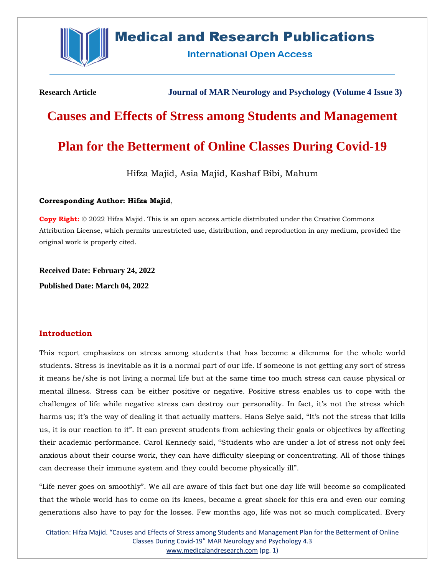

# **Medical and Research Publications**

**International Open Access** 

**Research Article Journal of MAR Neurology and Psychology (Volume 4 Issue 3)**

# **Causes and Effects of Stress among Students and Management**

# **Plan for the Betterment of Online Classes During Covid-19**

Hifza Majid, Asia Majid, Kashaf Bibi, Mahum

## **Corresponding Author: Hifza Majid**,

**Copy Right:** © 2022 Hifza Majid. This is an open access article distributed under the Creative Commons Attribution License, which permits unrestricted use, distribution, and reproduction in any medium, provided the original work is properly cited.

**Received Date: February 24, 2022 Published Date: March 04, 2022**

# **Introduction**

This report emphasizes on stress among students that has become a dilemma for the whole world students. Stress is inevitable as it is a normal part of our life. If someone is not getting any sort of stress it means he/she is not living a normal life but at the same time too much stress can cause physical or mental illness. Stress can be either positive or negative. Positive stress enables us to cope with the challenges of life while negative stress can destroy our personality. In fact, it's not the stress which harms us; it's the way of dealing it that actually matters. Hans Selye said, "It's not the stress that kills us, it is our reaction to it". It can prevent students from achieving their goals or objectives by affecting their academic performance. Carol Kennedy said, "Students who are under a lot of stress not only feel anxious about their course work, they can have difficulty sleeping or concentrating. All of those things can decrease their immune system and they could become physically ill".

"Life never goes on smoothly". We all are aware of this fact but one day life will become so complicated that the whole world has to come on its knees, became a great shock for this era and even our coming generations also have to pay for the losses. Few months ago, life was not so much complicated. Every

Citation: Hifza Majid. "Causes and Effects of Stress among Students and Management Plan for the Betterment of Online Classes During Covid-19" MAR Neurology and Psychology 4.3 [www.medicalandresearch.com](http://www.medicalandresearch.com/) (pg. 1)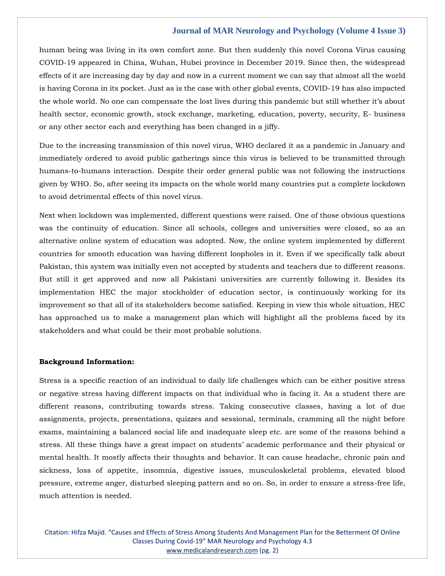human being was living in its own comfort zone. But then suddenly this novel Corona Virus causing COVID-19 appeared in China, Wuhan, Hubei province in December 2019. Since then, the widespread effects of it are increasing day by day and now in a current moment we can say that almost all the world is having Corona in its pocket. Just as is the case with other global events, COVID-19 has also impacted the whole world. No one can compensate the lost lives during this pandemic but still whether it's about health sector, economic growth, stock exchange, marketing, education, poverty, security, E- business or any other sector each and everything has been changed in a jiffy.

Due to the increasing transmission of this novel virus, WHO declared it as a pandemic in January and immediately ordered to avoid public gatherings since this virus is believed to be transmitted through humans-to-humans interaction. Despite their order general public was not following the instructions given by WHO. So, after seeing its impacts on the whole world many countries put a complete lockdown to avoid detrimental effects of this novel virus.

Next when lockdown was implemented, different questions were raised. One of those obvious questions was the continuity of education. Since all schools, colleges and universities were closed, so as an alternative online system of education was adopted. Now, the online system implemented by different countries for smooth education was having different loopholes in it. Even if we specifically talk about Pakistan, this system was initially even not accepted by students and teachers due to different reasons. But still it get approved and now all Pakistani universities are currently following it. Besides its implementation HEC the major stockholder of education sector, is continuously working for its improvement so that all of its stakeholders become satisfied. Keeping in view this whole situation, HEC has approached us to make a management plan which will highlight all the problems faced by its stakeholders and what could be their most probable solutions.

#### **Background Information:**

Stress is a specific reaction of an individual to daily life challenges which can be either positive stress or negative stress having different impacts on that individual who is facing it. As a student there are different reasons, contributing towards stress. Taking consecutive classes, having a lot of due assignments, projects, presentations, quizzes and sessional, terminals, cramming all the night before exams, maintaining a balanced social life and inadequate sleep etc. are some of the reasons behind a stress. All these things have a great impact on students' academic performance and their physical or mental health. It mostly affects their thoughts and behavior. It can cause headache, chronic pain and sickness, loss of appetite, insomnia, digestive issues, musculoskeletal problems, elevated blood pressure, extreme anger, disturbed sleeping pattern and so on. So, in order to ensure a stress-free life, much attention is needed.

Citation: Hifza Majid. "Causes and Effects of Stress Among Students And Management Plan for the Betterment Of Online Classes During Covid-19" MAR Neurology and Psychology 4.3 [www.medicalandresearch.com](http://www.medicalandresearch.com/) (pg. 2)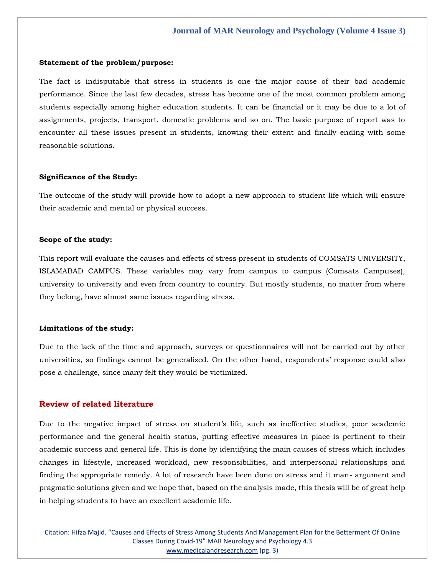#### **Statement of the problem/purpose:**

The fact is indisputable that stress in students is one the major cause of their bad academic performance. Since the last few decades, stress has become one of the most common problem among students especially among higher education students. It can be financial or it may be due to a lot of assignments, projects, transport, domestic problems and so on. The basic purpose of report was to encounter all these issues present in students, knowing their extent and finally ending with some reasonable solutions.

#### **Significance of the Study:**

The outcome of the study will provide how to adopt a new approach to student life which will ensure their academic and mental or physical success.

### **Scope of the study:**

This report will evaluate the causes and effects of stress present in students of COMSATS UNIVERSITY, ISLAMABAD CAMPUS. These variables may vary from campus to campus (Comsats Campuses), university to university and even from country to country. But mostly students, no matter from where they belong, have almost same issues regarding stress.

#### **Limitations of the study:**

Due to the lack of the time and approach, surveys or questionnaires will not be carried out by other universities, so findings cannot be generalized. On the other hand, respondents' response could also pose a challenge, since many felt they would be victimized.

## **Review of related literature**

Due to the negative impact of stress on student's life, such as ineffective studies, poor academic performance and the general health status, putting effective measures in place is pertinent to their academic success and general life. This is done by identifying the main causes of stress which includes changes in lifestyle, increased workload, new responsibilities, and interpersonal relationships and finding the appropriate remedy. A lot of research have been done on stress and it man- argument and pragmatic solutions given and we hope that, based on the analysis made, this thesis will be of great help in helping students to have an excellent academic life.

Citation: Hifza Majid. "Causes and Effects of Stress Among Students And Management Plan for the Betterment Of Online Classes During Covid-19" MAR Neurology and Psychology 4.3 [www.medicalandresearch.com](http://www.medicalandresearch.com/) (pg. 3)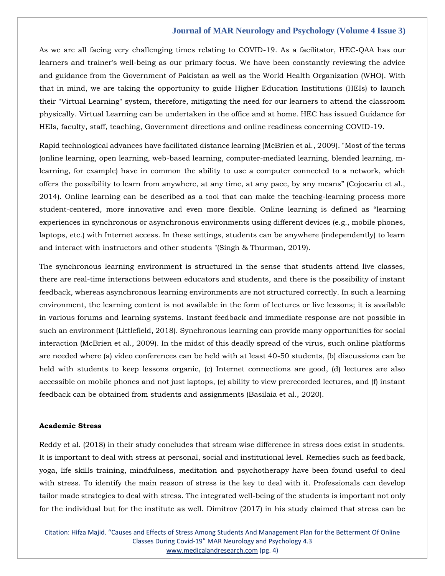As we are all facing very challenging times relating to COVID-19. As a facilitator, HEC-QAA has our learners and trainer's well-being as our primary focus. We have been constantly reviewing the advice and guidance from the Government of Pakistan as well as the World Health Organization (WHO). With that in mind, we are taking the opportunity to guide Higher Education Institutions (HEIs) to launch their "Virtual Learning" system, therefore, mitigating the need for our learners to attend the classroom physically. Virtual Learning can be undertaken in the office and at home. HEC has issued Guidance for HEIs, faculty, staff, teaching, Government directions and online readiness concerning COVID-19.

Rapid technological advances have facilitated distance learning (McBrien et al., 2009). "Most of the terms (online learning, open learning, web-based learning, computer-mediated learning, blended learning, mlearning, for example) have in common the ability to use a computer connected to a network, which offers the possibility to learn from anywhere, at any time, at any pace, by any means" (Cojocariu et al., 2014). Online learning can be described as a tool that can make the teaching-learning process more student-centered, more innovative and even more flexible. Online learning is defined as "learning experiences in synchronous or asynchronous environments using different devices (e.g., mobile phones, laptops, etc.) with Internet access. In these settings, students can be anywhere (independently) to learn and interact with instructors and other students "(Singh & Thurman, 2019).

The synchronous learning environment is structured in the sense that students attend live classes, there are real-time interactions between educators and students, and there is the possibility of instant feedback, whereas asynchronous learning environments are not structured correctly. In such a learning environment, the learning content is not available in the form of lectures or live lessons; it is available in various forums and learning systems. Instant feedback and immediate response are not possible in such an environment (Littlefield, 2018). Synchronous learning can provide many opportunities for social interaction (McBrien et al., 2009). In the midst of this deadly spread of the virus, such online platforms are needed where (a) video conferences can be held with at least 40-50 students, (b) discussions can be held with students to keep lessons organic, (c) Internet connections are good, (d) lectures are also accessible on mobile phones and not just laptops, (e) ability to view prerecorded lectures, and (f) instant feedback can be obtained from students and assignments (Basilaia et al., 2020).

#### **Academic Stress**

Reddy et al. (2018) in their study concludes that stream wise difference in stress does exist in students. It is important to deal with stress at personal, social and institutional level. Remedies such as feedback, yoga, life skills training, mindfulness, meditation and psychotherapy have been found useful to deal with stress. To identify the main reason of stress is the key to deal with it. Professionals can develop tailor made strategies to deal with stress. The integrated well-being of the students is important not only for the individual but for the institute as well. Dimitrov (2017) in his study claimed that stress can be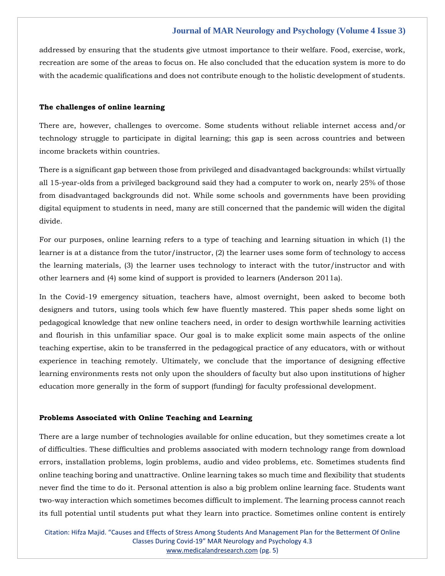addressed by ensuring that the students give utmost importance to their welfare. Food, exercise, work, recreation are some of the areas to focus on. He also concluded that the education system is more to do with the academic qualifications and does not contribute enough to the holistic development of students.

## **The challenges of online learning**

There are, however, challenges to overcome. Some students without reliable internet access and/or technology struggle to participate in digital learning; this gap is seen across countries and between income brackets within countries.

There is a significant gap between those from privileged and disadvantaged backgrounds: whilst virtually all 15-year-olds from a privileged background said they had a computer to work on, nearly 25% of those from disadvantaged backgrounds did not. While some schools and governments have been providing digital equipment to students in need, many are still concerned that the pandemic will widen the digital divide.

For our purposes, online learning refers to a type of teaching and learning situation in which (1) the learner is at a distance from the tutor/instructor, (2) the learner uses some form of technology to access the learning materials, (3) the learner uses technology to interact with the tutor/instructor and with other learners and (4) some kind of support is provided to learners (Anderson 2011a).

In the Covid-19 emergency situation, teachers have, almost overnight, been asked to become both designers and tutors, using tools which few have fluently mastered. This paper sheds some light on pedagogical knowledge that new online teachers need, in order to design worthwhile learning activities and flourish in this unfamiliar space. Our goal is to make explicit some main aspects of the online teaching expertise, akin to be transferred in the pedagogical practice of any educators, with or without experience in teaching remotely. Ultimately, we conclude that the importance of designing effective learning environments rests not only upon the shoulders of faculty but also upon institutions of higher education more generally in the form of support (funding) for faculty professional development.

#### **Problems Associated with Online Teaching and Learning**

There are a large number of technologies available for online education, but they sometimes create a lot of difficulties. These difficulties and problems associated with modern technology range from download errors, installation problems, login problems, audio and video problems, etc. Sometimes students find online teaching boring and unattractive. Online learning takes so much time and flexibility that students never find the time to do it. Personal attention is also a big problem online learning face. Students want two-way interaction which sometimes becomes difficult to implement. The learning process cannot reach its full potential until students put what they learn into practice. Sometimes online content is entirely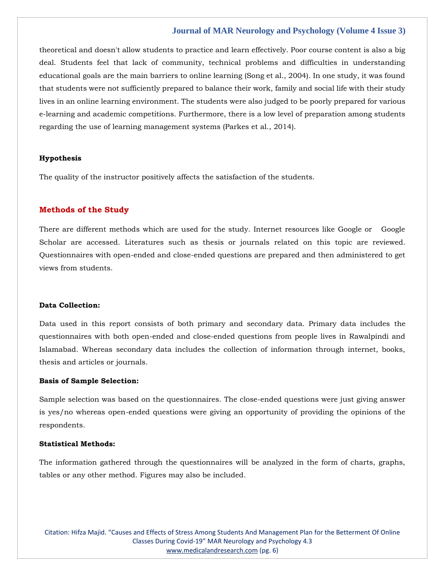theoretical and doesn't allow students to practice and learn effectively. Poor course content is also a big deal. Students feel that lack of community, technical problems and difficulties in understanding educational goals are the main barriers to online learning (Song et al., 2004). In one study, it was found that students were not sufficiently prepared to balance their work, family and social life with their study lives in an online learning environment. The students were also judged to be poorly prepared for various e-learning and academic competitions. Furthermore, there is a low level of preparation among students regarding the use of learning management systems (Parkes et al., 2014).

#### **Hypothesis**

The quality of the instructor positively affects the satisfaction of the students.

## **Methods of the Study**

There are different methods which are used for the study. Internet resources like Google or Google Scholar are accessed. Literatures such as thesis or journals related on this topic are reviewed. Questionnaires with open-ended and close-ended questions are prepared and then administered to get views from students.

## **Data Collection:**

Data used in this report consists of both primary and secondary data. Primary data includes the questionnaires with both open-ended and close-ended questions from people lives in Rawalpindi and Islamabad. Whereas secondary data includes the collection of information through internet, books, thesis and articles or journals.

## **Basis of Sample Selection:**

Sample selection was based on the questionnaires. The close-ended questions were just giving answer is yes/no whereas open-ended questions were giving an opportunity of providing the opinions of the respondents.

## **Statistical Methods:**

The information gathered through the questionnaires will be analyzed in the form of charts, graphs, tables or any other method. Figures may also be included.

Citation: Hifza Majid. "Causes and Effects of Stress Among Students And Management Plan for the Betterment Of Online Classes During Covid-19" MAR Neurology and Psychology 4.3 [www.medicalandresearch.com](http://www.medicalandresearch.com/) (pg. 6)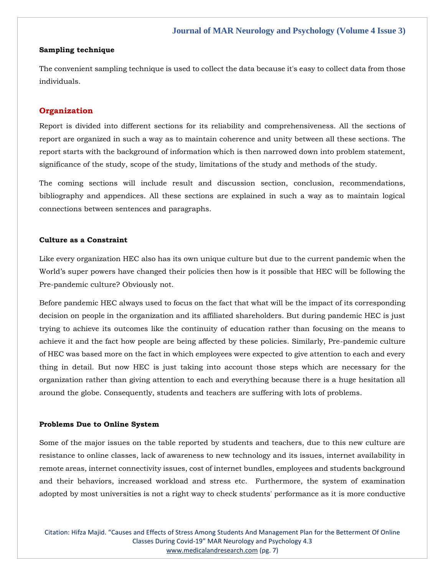## **Sampling technique**

The convenient sampling technique is used to collect the data because it's easy to collect data from those individuals.

## **Organization**

Report is divided into different sections for its reliability and comprehensiveness. All the sections of report are organized in such a way as to maintain coherence and unity between all these sections. The report starts with the background of information which is then narrowed down into problem statement, significance of the study, scope of the study, limitations of the study and methods of the study.

The coming sections will include result and discussion section, conclusion, recommendations, bibliography and appendices. All these sections are explained in such a way as to maintain logical connections between sentences and paragraphs.

## **Culture as a Constraint**

Like every organization HEC also has its own unique culture but due to the current pandemic when the World's super powers have changed their policies then how is it possible that HEC will be following the Pre-pandemic culture? Obviously not.

Before pandemic HEC always used to focus on the fact that what will be the impact of its corresponding decision on people in the organization and its affiliated shareholders. But during pandemic HEC is just trying to achieve its outcomes like the continuity of education rather than focusing on the means to achieve it and the fact how people are being affected by these policies. Similarly, Pre-pandemic culture of HEC was based more on the fact in which employees were expected to give attention to each and every thing in detail. But now HEC is just taking into account those steps which are necessary for the organization rather than giving attention to each and everything because there is a huge hesitation all around the globe. Consequently, students and teachers are suffering with lots of problems.

## **Problems Due to Online System**

Some of the major issues on the table reported by students and teachers, due to this new culture are resistance to online classes, lack of awareness to new technology and its issues, internet availability in remote areas, internet connectivity issues, cost of internet bundles, employees and students background and their behaviors, increased workload and stress etc. Furthermore, the system of examination adopted by most universities is not a right way to check students' performance as it is more conductive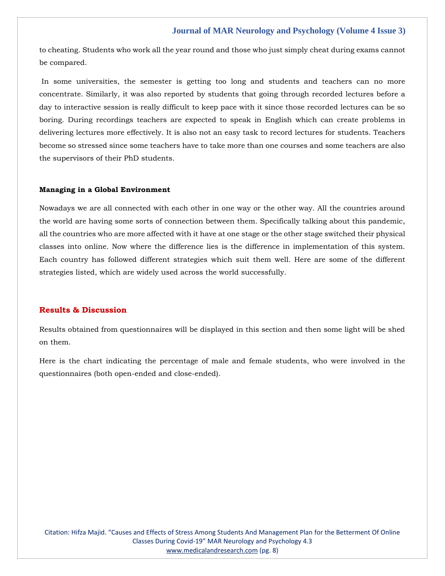to cheating. Students who work all the year round and those who just simply cheat during exams cannot be compared.

In some universities, the semester is getting too long and students and teachers can no more concentrate. Similarly, it was also reported by students that going through recorded lectures before a day to interactive session is really difficult to keep pace with it since those recorded lectures can be so boring. During recordings teachers are expected to speak in English which can create problems in delivering lectures more effectively. It is also not an easy task to record lectures for students. Teachers become so stressed since some teachers have to take more than one courses and some teachers are also the supervisors of their PhD students.

#### **Managing in a Global Environment**

Nowadays we are all connected with each other in one way or the other way. All the countries around the world are having some sorts of connection between them. Specifically talking about this pandemic, all the countries who are more affected with it have at one stage or the other stage switched their physical classes into online. Now where the difference lies is the difference in implementation of this system. Each country has followed different strategies which suit them well. Here are some of the different strategies listed, which are widely used across the world successfully.

## **Results & Discussion**

Results obtained from questionnaires will be displayed in this section and then some light will be shed on them.

Here is the chart indicating the percentage of male and female students, who were involved in the questionnaires (both open-ended and close-ended).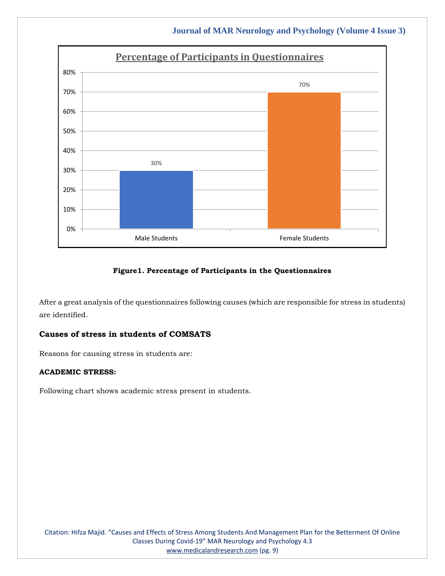

## **Figure1. Percentage of Participants in the Questionnaires**

After a great analysis of the questionnaires following causes (which are responsible for stress in students) are identified.

# **Causes of stress in students of COMSATS**

Reasons for causing stress in students are:

## **ACADEMIC STRESS:**

Following chart shows academic stress present in students.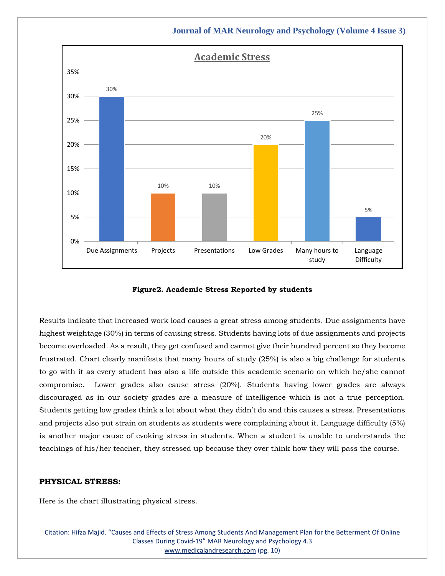

**Figure2. Academic Stress Reported by students**

Results indicate that increased work load causes a great stress among students. Due assignments have highest weightage (30%) in terms of causing stress. Students having lots of due assignments and projects become overloaded. As a result, they get confused and cannot give their hundred percent so they become frustrated. Chart clearly manifests that many hours of study (25%) is also a big challenge for students to go with it as every student has also a life outside this academic scenario on which he/she cannot compromise. Lower grades also cause stress (20%). Students having lower grades are always discouraged as in our society grades are a measure of intelligence which is not a true perception. Students getting low grades think a lot about what they didn't do and this causes a stress. Presentations and projects also put strain on students as students were complaining about it. Language difficulty (5%) is another major cause of evoking stress in students. When a student is unable to understands the teachings of his/her teacher, they stressed up because they over think how they will pass the course.

## **PHYSICAL STRESS:**

Here is the chart illustrating physical stress.

Citation: Hifza Majid. "Causes and Effects of Stress Among Students And Management Plan for the Betterment Of Online Classes During Covid-19" MAR Neurology and Psychology 4.3 [www.medicalandresearch.com](http://www.medicalandresearch.com/) (pg. 10)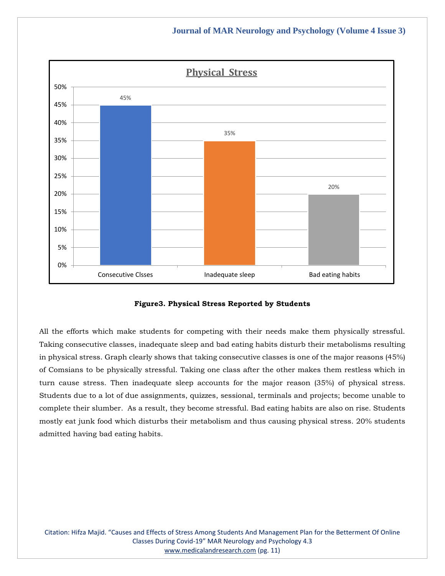



All the efforts which make students for competing with their needs make them physically stressful. Taking consecutive classes, inadequate sleep and bad eating habits disturb their metabolisms resulting in physical stress. Graph clearly shows that taking consecutive classes is one of the major reasons (45%) of Comsians to be physically stressful. Taking one class after the other makes them restless which in turn cause stress. Then inadequate sleep accounts for the major reason (35%) of physical stress. Students due to a lot of due assignments, quizzes, sessional, terminals and projects; become unable to complete their slumber. As a result, they become stressful. Bad eating habits are also on rise. Students mostly eat junk food which disturbs their metabolism and thus causing physical stress. 20% students admitted having bad eating habits.

Citation: Hifza Majid. "Causes and Effects of Stress Among Students And Management Plan for the Betterment Of Online Classes During Covid-19" MAR Neurology and Psychology 4.3 [www.medicalandresearch.com](http://www.medicalandresearch.com/) (pg. 11)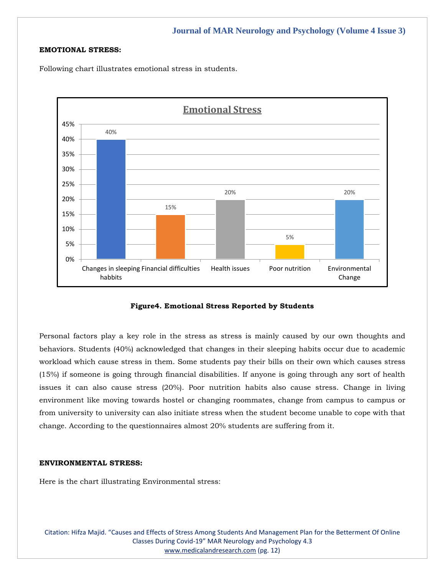## **EMOTIONAL STRESS:**

Following chart illustrates emotional stress in students.



**Figure4. Emotional Stress Reported by Students**

Personal factors play a key role in the stress as stress is mainly caused by our own thoughts and behaviors. Students (40%) acknowledged that changes in their sleeping habits occur due to academic workload which cause stress in them. Some students pay their bills on their own which causes stress (15%) if someone is going through financial disabilities. If anyone is going through any sort of health issues it can also cause stress (20%). Poor nutrition habits also cause stress. Change in living environment like moving towards hostel or changing roommates, change from campus to campus or from university to university can also initiate stress when the student become unable to cope with that change. According to the questionnaires almost 20% students are suffering from it.

## **ENVIRONMENTAL STRESS:**

Here is the chart illustrating Environmental stress:

Citation: Hifza Majid. "Causes and Effects of Stress Among Students And Management Plan for the Betterment Of Online Classes During Covid-19" MAR Neurology and Psychology 4.3 [www.medicalandresearch.com](http://www.medicalandresearch.com/) (pg. 12)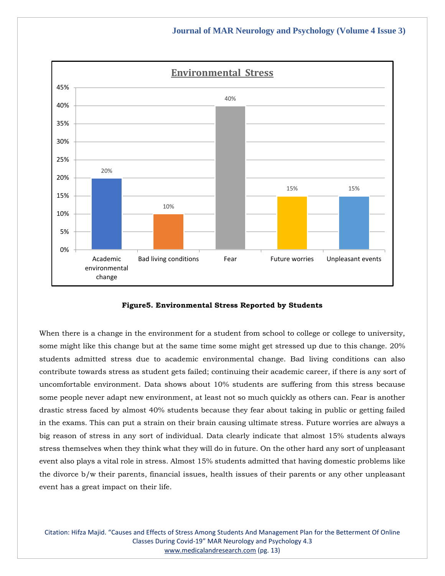

**Figure5. Environmental Stress Reported by Students**

When there is a change in the environment for a student from school to college or college to university, some might like this change but at the same time some might get stressed up due to this change. 20% students admitted stress due to academic environmental change. Bad living conditions can also contribute towards stress as student gets failed; continuing their academic career, if there is any sort of uncomfortable environment. Data shows about 10% students are suffering from this stress because some people never adapt new environment, at least not so much quickly as others can. Fear is another drastic stress faced by almost 40% students because they fear about taking in public or getting failed in the exams. This can put a strain on their brain causing ultimate stress. Future worries are always a big reason of stress in any sort of individual. Data clearly indicate that almost 15% students always stress themselves when they think what they will do in future. On the other hard any sort of unpleasant event also plays a vital role in stress. Almost 15% students admitted that having domestic problems like the divorce b/w their parents, financial issues, health issues of their parents or any other unpleasant event has a great impact on their life.

Citation: Hifza Majid. "Causes and Effects of Stress Among Students And Management Plan for the Betterment Of Online Classes During Covid-19" MAR Neurology and Psychology 4.3 [www.medicalandresearch.com](http://www.medicalandresearch.com/) (pg. 13)

# **Journal of MAR Neurology and Psychology (Volume 4 Issue 3)**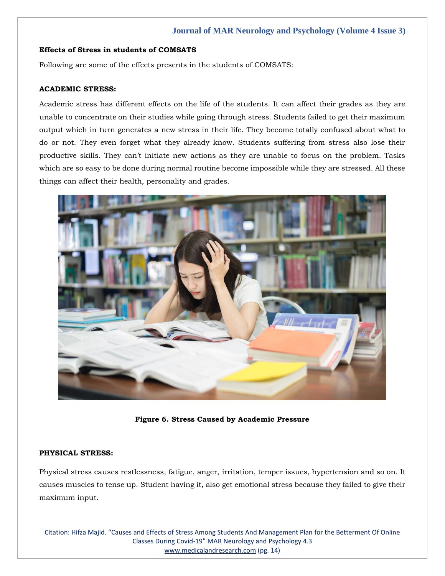## **Effects of Stress in students of COMSATS**

Following are some of the effects presents in the students of COMSATS:

## **ACADEMIC STRESS:**

Academic stress has different effects on the life of the students. It can affect their grades as they are unable to concentrate on their studies while going through stress. Students failed to get their maximum output which in turn generates a new stress in their life. They become totally confused about what to do or not. They even forget what they already know. Students suffering from stress also lose their productive skills. They can't initiate new actions as they are unable to focus on the problem. Tasks which are so easy to be done during normal routine become impossible while they are stressed. All these things can affect their health, personality and grades.



**Figure 6. Stress Caused by Academic Pressure**

## **PHYSICAL STRESS:**

Physical stress causes restlessness, fatigue, anger, irritation, temper issues, hypertension and so on. It causes muscles to tense up. Student having it, also get emotional stress because they failed to give their maximum input.

Citation: Hifza Majid. "Causes and Effects of Stress Among Students And Management Plan for the Betterment Of Online Classes During Covid-19" MAR Neurology and Psychology 4.3 [www.medicalandresearch.com](http://www.medicalandresearch.com/) (pg. 14)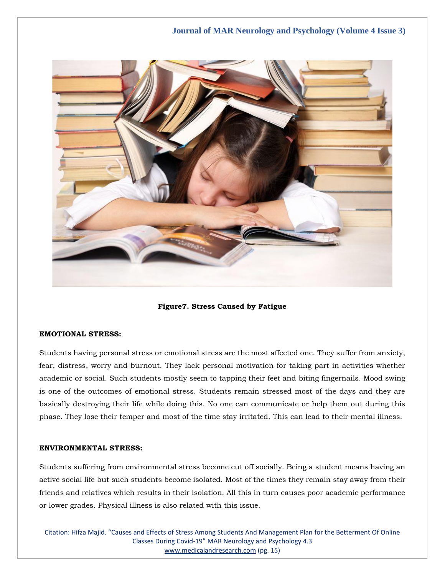

**Figure7. Stress Caused by Fatigue**

## **EMOTIONAL STRESS:**

Students having personal stress or emotional stress are the most affected one. They suffer from anxiety, fear, distress, worry and burnout. They lack personal motivation for taking part in activities whether academic or social. Such students mostly seem to tapping their feet and biting fingernails. Mood swing is one of the outcomes of emotional stress. Students remain stressed most of the days and they are basically destroying their life while doing this. No one can communicate or help them out during this phase. They lose their temper and most of the time stay irritated. This can lead to their mental illness.

## **ENVIRONMENTAL STRESS:**

Students suffering from environmental stress become cut off socially. Being a student means having an active social life but such students become isolated. Most of the times they remain stay away from their friends and relatives which results in their isolation. All this in turn causes poor academic performance or lower grades. Physical illness is also related with this issue.

Citation: Hifza Majid. "Causes and Effects of Stress Among Students And Management Plan for the Betterment Of Online Classes During Covid-19" MAR Neurology and Psychology 4.3 [www.medicalandresearch.com](http://www.medicalandresearch.com/) (pg. 15)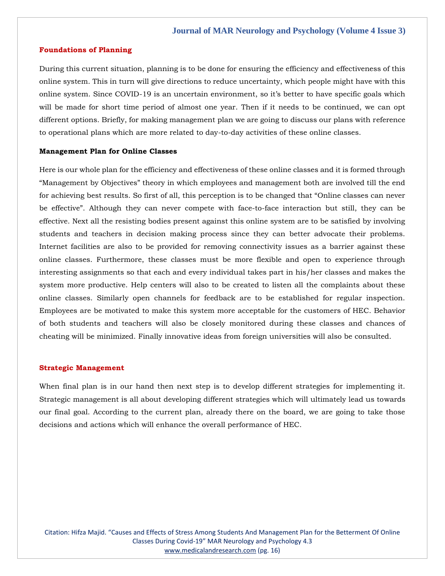#### **Foundations of Planning**

During this current situation, planning is to be done for ensuring the efficiency and effectiveness of this online system. This in turn will give directions to reduce uncertainty, which people might have with this online system. Since COVID-19 is an uncertain environment, so it's better to have specific goals which will be made for short time period of almost one year. Then if it needs to be continued, we can opt different options. Briefly, for making management plan we are going to discuss our plans with reference to operational plans which are more related to day-to-day activities of these online classes.

#### **Management Plan for Online Classes**

Here is our whole plan for the efficiency and effectiveness of these online classes and it is formed through "Management by Objectives" theory in which employees and management both are involved till the end for achieving best results. So first of all, this perception is to be changed that "Online classes can never be effective". Although they can never compete with face-to-face interaction but still, they can be effective. Next all the resisting bodies present against this online system are to be satisfied by involving students and teachers in decision making process since they can better advocate their problems. Internet facilities are also to be provided for removing connectivity issues as a barrier against these online classes. Furthermore, these classes must be more flexible and open to experience through interesting assignments so that each and every individual takes part in his/her classes and makes the system more productive. Help centers will also to be created to listen all the complaints about these online classes. Similarly open channels for feedback are to be established for regular inspection. Employees are be motivated to make this system more acceptable for the customers of HEC. Behavior of both students and teachers will also be closely monitored during these classes and chances of cheating will be minimized. Finally innovative ideas from foreign universities will also be consulted.

#### **Strategic Management**

When final plan is in our hand then next step is to develop different strategies for implementing it. Strategic management is all about developing different strategies which will ultimately lead us towards our final goal. According to the current plan, already there on the board, we are going to take those decisions and actions which will enhance the overall performance of HEC.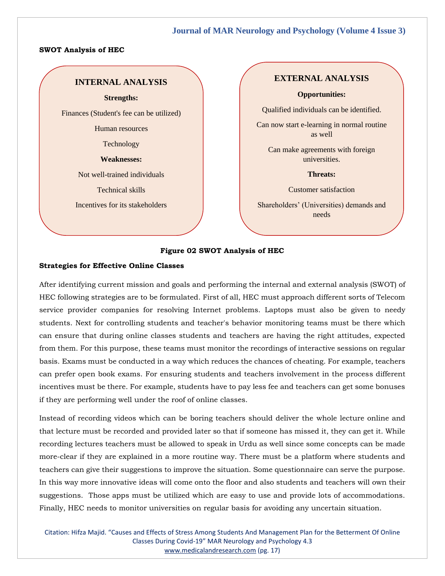#### **SWOT Analysis of HEC**

# **INTERNAL ANALYSIS**

#### **Strengths:**

Finances (Student's fee can be utilized)

Human resources

Technology

**Weaknesses:**

Not well-trained individuals

Technical skills

Incentives for its stakeholders

## **EXTERNAL ANALYSIS**

#### **Opportunities:**

Qualified individuals can be identified.

Can now start e-learning in normal routine as well

Can make agreements with foreign universities.

#### **Threats:**

Customer satisfaction

Shareholders' (Universities) demands and needs

#### **Figure 02 SWOT Analysis of HEC**

### **Strategies for Effective Online Classes**

After identifying current mission and goals and performing the internal and external analysis (SWOT) of HEC following strategies are to be formulated. First of all, HEC must approach different sorts of Telecom service provider companies for resolving Internet problems. Laptops must also be given to needy students. Next for controlling students and teacher's behavior monitoring teams must be there which can ensure that during online classes students and teachers are having the right attitudes, expected from them. For this purpose, these teams must monitor the recordings of interactive sessions on regular basis. Exams must be conducted in a way which reduces the chances of cheating. For example, teachers can prefer open book exams. For ensuring students and teachers involvement in the process different incentives must be there. For example, students have to pay less fee and teachers can get some bonuses if they are performing well under the roof of online classes.

Instead of recording videos which can be boring teachers should deliver the whole lecture online and that lecture must be recorded and provided later so that if someone has missed it, they can get it. While recording lectures teachers must be allowed to speak in Urdu as well since some concepts can be made more-clear if they are explained in a more routine way. There must be a platform where students and teachers can give their suggestions to improve the situation. Some questionnaire can serve the purpose. In this way more innovative ideas will come onto the floor and also students and teachers will own their suggestions. Those apps must be utilized which are easy to use and provide lots of accommodations. Finally, HEC needs to monitor universities on regular basis for avoiding any uncertain situation.

Citation: Hifza Majid. "Causes and Effects of Stress Among Students And Management Plan for the Betterment Of Online Classes During Covid-19" MAR Neurology and Psychology 4.3 [www.medicalandresearch.com](http://www.medicalandresearch.com/) (pg. 17)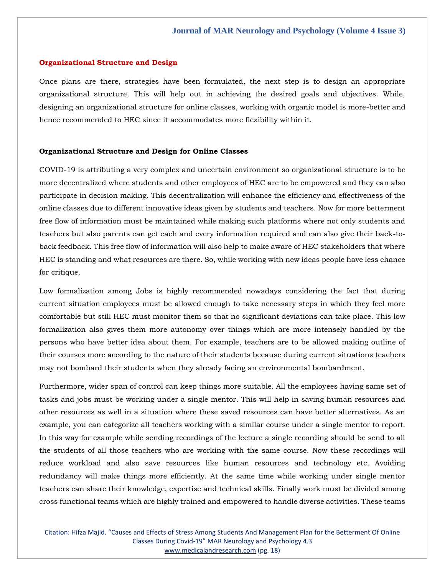#### **Organizational Structure and Design**

Once plans are there, strategies have been formulated, the next step is to design an appropriate organizational structure. This will help out in achieving the desired goals and objectives. While, designing an organizational structure for online classes, working with organic model is more-better and hence recommended to HEC since it accommodates more flexibility within it.

#### **Organizational Structure and Design for Online Classes**

COVID-19 is attributing a very complex and uncertain environment so organizational structure is to be more decentralized where students and other employees of HEC are to be empowered and they can also participate in decision making. This decentralization will enhance the efficiency and effectiveness of the online classes due to different innovative ideas given by students and teachers. Now for more betterment free flow of information must be maintained while making such platforms where not only students and teachers but also parents can get each and every information required and can also give their back-toback feedback. This free flow of information will also help to make aware of HEC stakeholders that where HEC is standing and what resources are there. So, while working with new ideas people have less chance for critique.

Low formalization among Jobs is highly recommended nowadays considering the fact that during current situation employees must be allowed enough to take necessary steps in which they feel more comfortable but still HEC must monitor them so that no significant deviations can take place. This low formalization also gives them more autonomy over things which are more intensely handled by the persons who have better idea about them. For example, teachers are to be allowed making outline of their courses more according to the nature of their students because during current situations teachers may not bombard their students when they already facing an environmental bombardment.

Furthermore, wider span of control can keep things more suitable. All the employees having same set of tasks and jobs must be working under a single mentor. This will help in saving human resources and other resources as well in a situation where these saved resources can have better alternatives. As an example, you can categorize all teachers working with a similar course under a single mentor to report. In this way for example while sending recordings of the lecture a single recording should be send to all the students of all those teachers who are working with the same course. Now these recordings will reduce workload and also save resources like human resources and technology etc. Avoiding redundancy will make things more efficiently. At the same time while working under single mentor teachers can share their knowledge, expertise and technical skills. Finally work must be divided among cross functional teams which are highly trained and empowered to handle diverse activities. These teams

Citation: Hifza Majid. "Causes and Effects of Stress Among Students And Management Plan for the Betterment Of Online Classes During Covid-19" MAR Neurology and Psychology 4.3 [www.medicalandresearch.com](http://www.medicalandresearch.com/) (pg. 18)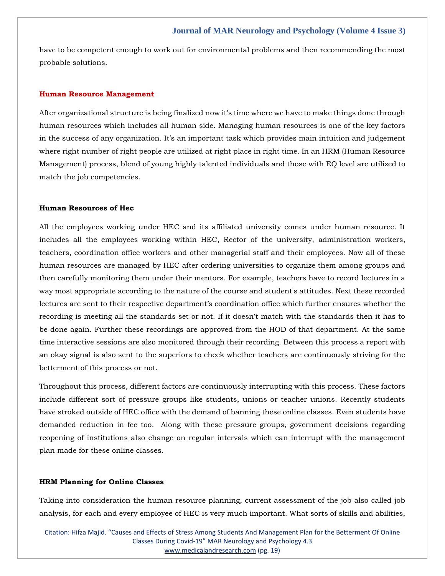have to be competent enough to work out for environmental problems and then recommending the most probable solutions.

#### **Human Resource Management**

After organizational structure is being finalized now it's time where we have to make things done through human resources which includes all human side. Managing human resources is one of the key factors in the success of any organization. It's an important task which provides main intuition and judgement where right number of right people are utilized at right place in right time. In an HRM (Human Resource Management) process, blend of young highly talented individuals and those with EQ level are utilized to match the job competencies.

#### **Human Resources of Hec**

All the employees working under HEC and its affiliated university comes under human resource. It includes all the employees working within HEC, Rector of the university, administration workers, teachers, coordination office workers and other managerial staff and their employees. Now all of these human resources are managed by HEC after ordering universities to organize them among groups and then carefully monitoring them under their mentors. For example, teachers have to record lectures in a way most appropriate according to the nature of the course and student's attitudes. Next these recorded lectures are sent to their respective department's coordination office which further ensures whether the recording is meeting all the standards set or not. If it doesn't match with the standards then it has to be done again. Further these recordings are approved from the HOD of that department. At the same time interactive sessions are also monitored through their recording. Between this process a report with an okay signal is also sent to the superiors to check whether teachers are continuously striving for the betterment of this process or not.

Throughout this process, different factors are continuously interrupting with this process. These factors include different sort of pressure groups like students, unions or teacher unions. Recently students have stroked outside of HEC office with the demand of banning these online classes. Even students have demanded reduction in fee too. Along with these pressure groups, government decisions regarding reopening of institutions also change on regular intervals which can interrupt with the management plan made for these online classes.

#### **HRM Planning for Online Classes**

Taking into consideration the human resource planning, current assessment of the job also called job analysis, for each and every employee of HEC is very much important. What sorts of skills and abilities,

Citation: Hifza Majid. "Causes and Effects of Stress Among Students And Management Plan for the Betterment Of Online Classes During Covid-19" MAR Neurology and Psychology 4.3 [www.medicalandresearch.com](http://www.medicalandresearch.com/) (pg. 19)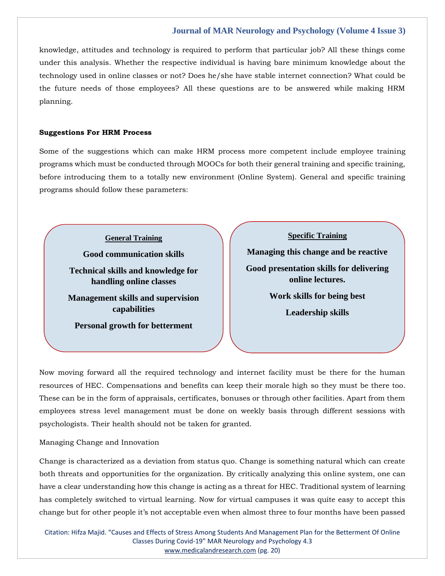knowledge, attitudes and technology is required to perform that particular job? All these things come under this analysis. Whether the respective individual is having bare minimum knowledge about the technology used in online classes or not? Does he/she have stable internet connection? What could be the future needs of those employees? All these questions are to be answered while making HRM planning.

#### **Suggestions For HRM Process**

Some of the suggestions which can make HRM process more competent include employee training programs which must be conducted through MOOCs for both their general training and specific training, before introducing them to a totally new environment (Online System). General and specific training programs should follow these parameters:

**General Training**

**Good communication skills Technical skills and knowledge for handling online classes Management skills and supervision** 

**capabilities**

**Personal growth for betterment**

**Managing this change and be reactive Good presentation skills for delivering online lectures. Work skills for being best Leadership skills**

**Specific Training**

Now moving forward all the required technology and internet facility must be there for the human resources of HEC. Compensations and benefits can keep their morale high so they must be there too. These can be in the form of appraisals, certificates, bonuses or through other facilities. Apart from them employees stress level management must be done on weekly basis through different sessions with psychologists. Their health should not be taken for granted.

Managing Change and Innovation

Change is characterized as a deviation from status quo. Change is something natural which can create both threats and opportunities for the organization. By critically analyzing this online system, one can have a clear understanding how this change is acting as a threat for HEC. Traditional system of learning has completely switched to virtual learning. Now for virtual campuses it was quite easy to accept this change but for other people it's not acceptable even when almost three to four months have been passed

Citation: Hifza Majid. "Causes and Effects of Stress Among Students And Management Plan for the Betterment Of Online Classes During Covid-19" MAR Neurology and Psychology 4.3 [www.medicalandresearch.com](http://www.medicalandresearch.com/) (pg. 20)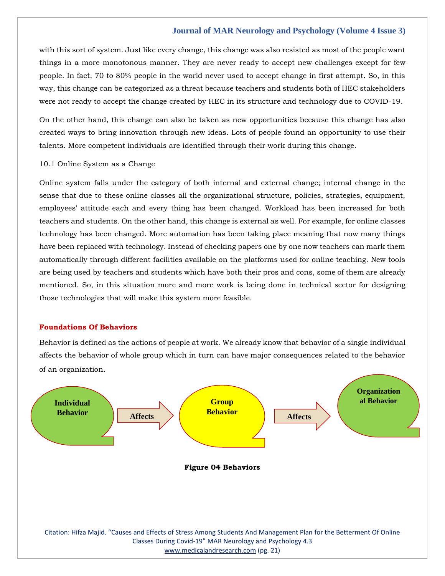with this sort of system. Just like every change, this change was also resisted as most of the people want things in a more monotonous manner. They are never ready to accept new challenges except for few people. In fact, 70 to 80% people in the world never used to accept change in first attempt. So, in this way, this change can be categorized as a threat because teachers and students both of HEC stakeholders were not ready to accept the change created by HEC in its structure and technology due to COVID-19.

On the other hand, this change can also be taken as new opportunities because this change has also created ways to bring innovation through new ideas. Lots of people found an opportunity to use their talents. More competent individuals are identified through their work during this change.

## 10.1 Online System as a Change

Online system falls under the category of both internal and external change; internal change in the sense that due to these online classes all the organizational structure, policies, strategies, equipment, employees' attitude each and every thing has been changed. Workload has been increased for both teachers and students. On the other hand, this change is external as well. For example, for online classes technology has been changed. More automation has been taking place meaning that now many things have been replaced with technology. Instead of checking papers one by one now teachers can mark them automatically through different facilities available on the platforms used for online teaching. New tools are being used by teachers and students which have both their pros and cons, some of them are already mentioned. So, in this situation more and more work is being done in technical sector for designing those technologies that will make this system more feasible.

## **Foundations Of Behaviors**

Behavior is defined as the actions of people at work. We already know that behavior of a single individual affects the behavior of whole group which in turn can have major consequences related to the behavior of an organization.

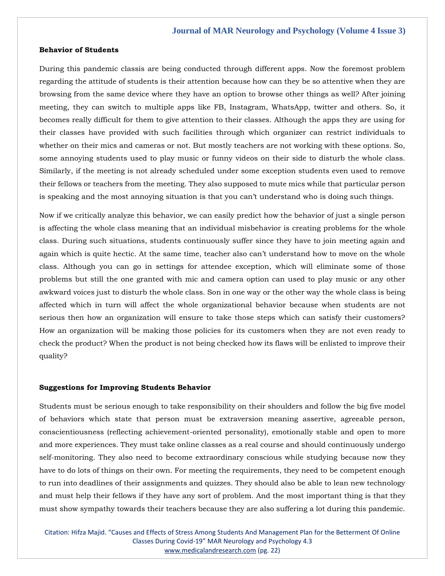#### **Behavior of Students**

During this pandemic classis are being conducted through different apps. Now the foremost problem regarding the attitude of students is their attention because how can they be so attentive when they are browsing from the same device where they have an option to browse other things as well? After joining meeting, they can switch to multiple apps like FB, Instagram, WhatsApp, twitter and others. So, it becomes really difficult for them to give attention to their classes. Although the apps they are using for their classes have provided with such facilities through which organizer can restrict individuals to whether on their mics and cameras or not. But mostly teachers are not working with these options. So, some annoying students used to play music or funny videos on their side to disturb the whole class. Similarly, if the meeting is not already scheduled under some exception students even used to remove their fellows or teachers from the meeting. They also supposed to mute mics while that particular person is speaking and the most annoying situation is that you can't understand who is doing such things.

Now if we critically analyze this behavior, we can easily predict how the behavior of just a single person is affecting the whole class meaning that an individual misbehavior is creating problems for the whole class. During such situations, students continuously suffer since they have to join meeting again and again which is quite hectic. At the same time, teacher also can't understand how to move on the whole class. Although you can go in settings for attendee exception, which will eliminate some of those problems but still the one granted with mic and camera option can used to play music or any other awkward voices just to disturb the whole class. Son in one way or the other way the whole class is being affected which in turn will affect the whole organizational behavior because when students are not serious then how an organization will ensure to take those steps which can satisfy their customers? How an organization will be making those policies for its customers when they are not even ready to check the product? When the product is not being checked how its flaws will be enlisted to improve their quality?

## **Suggestions for Improving Students Behavior**

Students must be serious enough to take responsibility on their shoulders and follow the big five model of behaviors which state that person must be extraversion meaning assertive, agreeable person, conscientiousness (reflecting achievement-oriented personality), emotionally stable and open to more and more experiences. They must take online classes as a real course and should continuously undergo self-monitoring. They also need to become extraordinary conscious while studying because now they have to do lots of things on their own. For meeting the requirements, they need to be competent enough to run into deadlines of their assignments and quizzes. They should also be able to lean new technology and must help their fellows if they have any sort of problem. And the most important thing is that they must show sympathy towards their teachers because they are also suffering a lot during this pandemic.

Citation: Hifza Majid. "Causes and Effects of Stress Among Students And Management Plan for the Betterment Of Online Classes During Covid-19" MAR Neurology and Psychology 4.3 [www.medicalandresearch.com](http://www.medicalandresearch.com/) (pg. 22)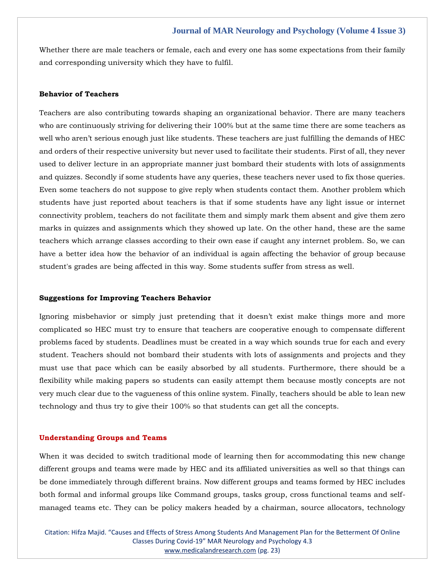Whether there are male teachers or female, each and every one has some expectations from their family and corresponding university which they have to fulfil.

#### **Behavior of Teachers**

Teachers are also contributing towards shaping an organizational behavior. There are many teachers who are continuously striving for delivering their 100% but at the same time there are some teachers as well who aren't serious enough just like students. These teachers are just fulfilling the demands of HEC and orders of their respective university but never used to facilitate their students. First of all, they never used to deliver lecture in an appropriate manner just bombard their students with lots of assignments and quizzes. Secondly if some students have any queries, these teachers never used to fix those queries. Even some teachers do not suppose to give reply when students contact them. Another problem which students have just reported about teachers is that if some students have any light issue or internet connectivity problem, teachers do not facilitate them and simply mark them absent and give them zero marks in quizzes and assignments which they showed up late. On the other hand, these are the same teachers which arrange classes according to their own ease if caught any internet problem. So, we can have a better idea how the behavior of an individual is again affecting the behavior of group because student's grades are being affected in this way. Some students suffer from stress as well.

### **Suggestions for Improving Teachers Behavior**

Ignoring misbehavior or simply just pretending that it doesn't exist make things more and more complicated so HEC must try to ensure that teachers are cooperative enough to compensate different problems faced by students. Deadlines must be created in a way which sounds true for each and every student. Teachers should not bombard their students with lots of assignments and projects and they must use that pace which can be easily absorbed by all students. Furthermore, there should be a flexibility while making papers so students can easily attempt them because mostly concepts are not very much clear due to the vagueness of this online system. Finally, teachers should be able to lean new technology and thus try to give their 100% so that students can get all the concepts.

#### **Understanding Groups and Teams**

When it was decided to switch traditional mode of learning then for accommodating this new change different groups and teams were made by HEC and its affiliated universities as well so that things can be done immediately through different brains. Now different groups and teams formed by HEC includes both formal and informal groups like Command groups, tasks group, cross functional teams and selfmanaged teams etc. They can be policy makers headed by a chairman, source allocators, technology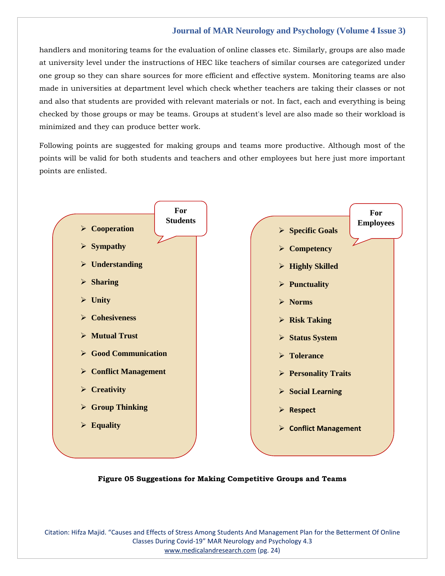handlers and monitoring teams for the evaluation of online classes etc. Similarly, groups are also made at university level under the instructions of HEC like teachers of similar courses are categorized under one group so they can share sources for more efficient and effective system. Monitoring teams are also made in universities at department level which check whether teachers are taking their classes or not and also that students are provided with relevant materials or not. In fact, each and everything is being checked by those groups or may be teams. Groups at student's level are also made so their workload is minimized and they can produce better work.

Following points are suggested for making groups and teams more productive. Although most of the points will be valid for both students and teachers and other employees but here just more important points are enlisted.



**Figure 05 Suggestions for Making Competitive Groups and Teams**

Citation: Hifza Majid. "Causes and Effects of Stress Among Students And Management Plan for the Betterment Of Online Classes During Covid-19" MAR Neurology and Psychology 4.3 [www.medicalandresearch.com](http://www.medicalandresearch.com/) (pg. 24)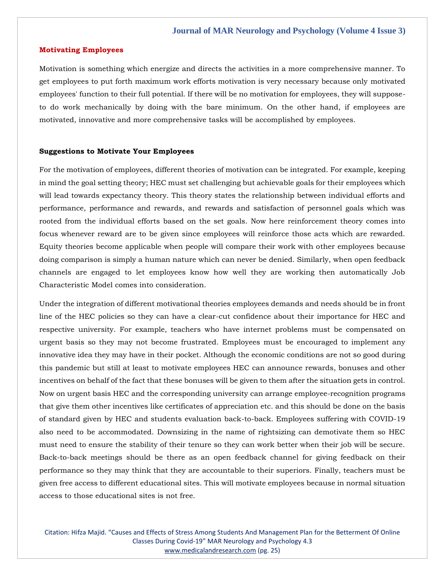#### **Motivating Employees**

Motivation is something which energize and directs the activities in a more comprehensive manner. To get employees to put forth maximum work efforts motivation is very necessary because only motivated employees' function to their full potential. If there will be no motivation for employees, they will supposeto do work mechanically by doing with the bare minimum. On the other hand, if employees are motivated, innovative and more comprehensive tasks will be accomplished by employees.

#### **Suggestions to Motivate Your Employees**

For the motivation of employees, different theories of motivation can be integrated. For example, keeping in mind the goal setting theory; HEC must set challenging but achievable goals for their employees which will lead towards expectancy theory. This theory states the relationship between individual efforts and performance, performance and rewards, and rewards and satisfaction of personnel goals which was rooted from the individual efforts based on the set goals. Now here reinforcement theory comes into focus whenever reward are to be given since employees will reinforce those acts which are rewarded. Equity theories become applicable when people will compare their work with other employees because doing comparison is simply a human nature which can never be denied. Similarly, when open feedback channels are engaged to let employees know how well they are working then automatically Job Characteristic Model comes into consideration.

Under the integration of different motivational theories employees demands and needs should be in front line of the HEC policies so they can have a clear-cut confidence about their importance for HEC and respective university. For example, teachers who have internet problems must be compensated on urgent basis so they may not become frustrated. Employees must be encouraged to implement any innovative idea they may have in their pocket. Although the economic conditions are not so good during this pandemic but still at least to motivate employees HEC can announce rewards, bonuses and other incentives on behalf of the fact that these bonuses will be given to them after the situation gets in control. Now on urgent basis HEC and the corresponding university can arrange employee-recognition programs that give them other incentives like certificates of appreciation etc. and this should be done on the basis of standard given by HEC and students evaluation back-to-back. Employees suffering with COVID-19 also need to be accommodated. Downsizing in the name of rightsizing can demotivate them so HEC must need to ensure the stability of their tenure so they can work better when their job will be secure. Back-to-back meetings should be there as an open feedback channel for giving feedback on their performance so they may think that they are accountable to their superiors. Finally, teachers must be given free access to different educational sites. This will motivate employees because in normal situation access to those educational sites is not free.

Citation: Hifza Majid. "Causes and Effects of Stress Among Students And Management Plan for the Betterment Of Online Classes During Covid-19" MAR Neurology and Psychology 4.3 [www.medicalandresearch.com](http://www.medicalandresearch.com/) (pg. 25)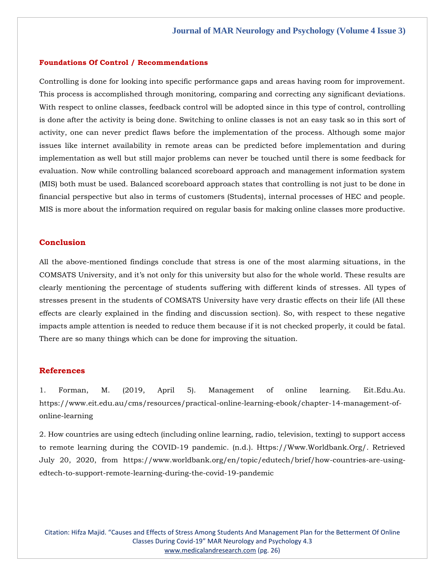#### **Foundations Of Control / Recommendations**

Controlling is done for looking into specific performance gaps and areas having room for improvement. This process is accomplished through monitoring, comparing and correcting any significant deviations. With respect to online classes, feedback control will be adopted since in this type of control, controlling is done after the activity is being done. Switching to online classes is not an easy task so in this sort of activity, one can never predict flaws before the implementation of the process. Although some major issues like internet availability in remote areas can be predicted before implementation and during implementation as well but still major problems can never be touched until there is some feedback for evaluation. Now while controlling balanced scoreboard approach and management information system (MIS) both must be used. Balanced scoreboard approach states that controlling is not just to be done in financial perspective but also in terms of customers (Students), internal processes of HEC and people. MIS is more about the information required on regular basis for making online classes more productive.

#### **Conclusion**

All the above-mentioned findings conclude that stress is one of the most alarming situations, in the COMSATS University, and it's not only for this university but also for the whole world. These results are clearly mentioning the percentage of students suffering with different kinds of stresses. All types of stresses present in the students of COMSATS University have very drastic effects on their life (All these effects are clearly explained in the finding and discussion section). So, with respect to these negative impacts ample attention is needed to reduce them because if it is not checked properly, it could be fatal. There are so many things which can be done for improving the situation.

#### **References**

[1. Forman, M. \(2019, April 5\). Management of online learning. Eit.Edu.Au.](file:///C:/Users/Arief%20Mahimudh/Desktop/Proofs/1.%20Forman,%20M.%20(2019,%20April%205).%20Management%20of%20online%20learning.%20Eit.Edu.Au.%20https:/www.eit.edu.au/cms/resources/practical-online-learning-ebook/chapter-14-management-of-online-learning)  [https://www.eit.edu.au/cms/resources/practical-online-learning-ebook/chapter-14-management-of](file:///C:/Users/Arief%20Mahimudh/Desktop/Proofs/1.%20Forman,%20M.%20(2019,%20April%205).%20Management%20of%20online%20learning.%20Eit.Edu.Au.%20https:/www.eit.edu.au/cms/resources/practical-online-learning-ebook/chapter-14-management-of-online-learning)[online-learning](file:///C:/Users/Arief%20Mahimudh/Desktop/Proofs/1.%20Forman,%20M.%20(2019,%20April%205).%20Management%20of%20online%20learning.%20Eit.Edu.Au.%20https:/www.eit.edu.au/cms/resources/practical-online-learning-ebook/chapter-14-management-of-online-learning)

2. How countries are using edtech (including online learning, radio, television, texting) to support access to remote learning during the COVID-19 pandemic. (n.d.). Https://Www.Worldbank.Org/. Retrieved July 20, 2020, from https://www.worldbank.org/en/topic/edutech/brief/how-countries-are-usingedtech-to-support-remote-learning-during-the-covid-19-pandemic

Citation: Hifza Majid. "Causes and Effects of Stress Among Students And Management Plan for the Betterment Of Online Classes During Covid-19" MAR Neurology and Psychology 4.3 [www.medicalandresearch.com](http://www.medicalandresearch.com/) (pg. 26)